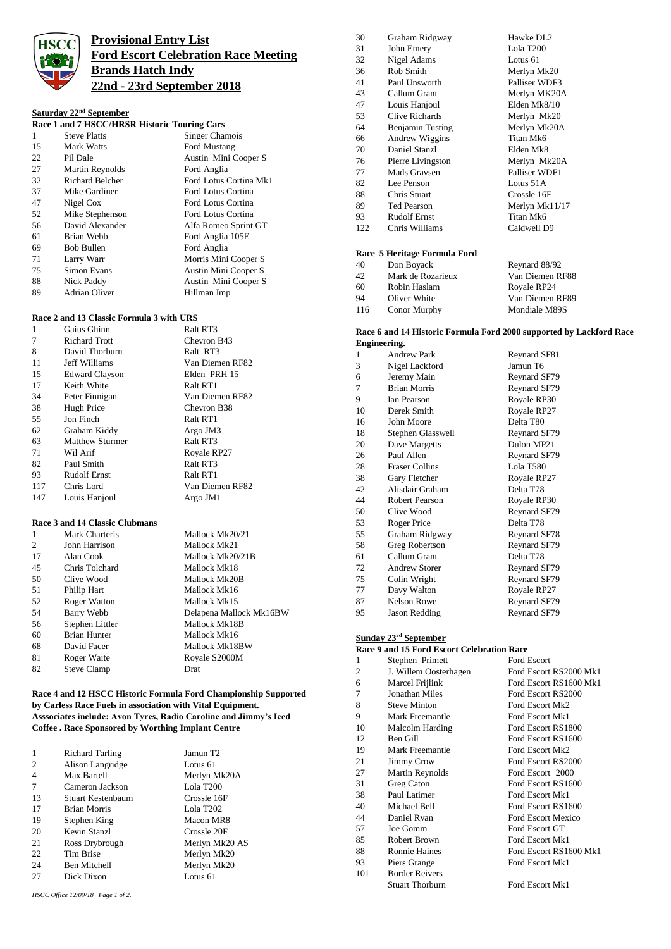

## **Provisional Entry List Ford Escort Celebration Race Meeting Brands Hatch Indy 22nd - 23rd September 2018**

## **Saturday 22nd September**

| Race 1 and 7 HSCC/HRSR Historic Touring Cars |                        |                        |
|----------------------------------------------|------------------------|------------------------|
| 1                                            | <b>Steve Platts</b>    | Singer Chamois         |
| 15                                           | Mark Watts             | Ford Mustang           |
| 22                                           | Pil Dale               | Austin Mini Cooper S   |
| 27                                           | Martin Reynolds        | Ford Anglia            |
| 32                                           | <b>Richard Belcher</b> | Ford Lotus Cortina Mk1 |
| 37                                           | Mike Gardiner          | Ford Lotus Cortina     |
| 47                                           | Nigel Cox              | Ford Lotus Cortina     |
| 52                                           | Mike Stephenson        | Ford Lotus Cortina     |
| 56                                           | David Alexander        | Alfa Romeo Sprint GT   |
| 61                                           | Brian Webb             | Ford Anglia 105E       |
| 69                                           | Bob Bullen             | Ford Anglia            |
| 71                                           | Larry Warr             | Morris Mini Cooper S   |
| 75                                           | Simon Evans            | Austin Mini Cooper S   |
| 88                                           | Nick Paddy             | Austin Mini Cooper S   |
| 89                                           | <b>Adrian Oliver</b>   | Hillman Imp            |

## **Race 2 and 13 Classic Formula 3 with URS**

| 1   | Gaius Ghinn            | Ralt RT3        |
|-----|------------------------|-----------------|
| 7   | Richard Trott          | Chevron B43     |
| 8   | David Thorburn         | Ralt RT3        |
| 11  | Jeff Williams          | Van Diemen RF82 |
| 15  | <b>Edward Clayson</b>  | Elden PRH 15    |
| 17  | Keith White            | Ralt RT1        |
| 34  | Peter Finnigan         | Van Diemen RF82 |
| 38  | Hugh Price             | Chevron B38     |
| 55  | Jon Finch              | Ralt RT1        |
| 62  | Graham Kiddy           | Argo JM3        |
| 63  | <b>Matthew Sturmer</b> | Ralt RT3        |
| 71  | Wil Arif               | Royale RP27     |
| 82  | Paul Smith             | Ralt RT3        |
| 93  | Rudolf Ernst           | Ralt RT1        |
| 117 | Chris Lord             | Van Diemen RF82 |
| 147 | Louis Hanjoul          | Argo JM1        |

## **Race 3 and 14 Classic Clubmans**

| $\mathbf{1}$ | Mark Charteris      | Mallock Mk20/21         |
|--------------|---------------------|-------------------------|
| 2            | John Harrison       | Mallock Mk21            |
| 17           | Alan Cook           | Mallock Mk20/21B        |
| 45           | Chris Tolchard      | Mallock Mk18            |
| 50           | Clive Wood          | Mallock Mk20B           |
| 51           | Philip Hart         | Mallock Mk16            |
| 52           | <b>Roger Watton</b> | Mallock Mk15            |
| 54           | Barry Webb          | Delapena Mallock Mk16BW |
| 56           | Stephen Littler     | Mallock Mk18B           |
| 60           | <b>Brian Hunter</b> | Mallock Mk16            |
| 68           | David Facer         | Mallock Mk18BW          |
| 81           | Roger Waite         | Royale S2000M           |
| 82           | <b>Steve Clamp</b>  | Drat                    |
|              |                     |                         |

### **Race 4 and 12 HSCC Historic Formula Ford Championship Supported by Carless Race Fuels in association with Vital Equipment. Asssociates include: Avon Tyres, Radio Caroline and Jimmy's Iced Coffee . Race Sponsored by Worthing Implant Centre**

| $\mathbf{1}$   | <b>Richard Tarling</b> | Jamun T2       |
|----------------|------------------------|----------------|
| $\overline{2}$ | Alison Langridge       | Lotus 61       |
| $\overline{4}$ | Max Bartell            | Merlyn Mk20A   |
| 7              | Cameron Jackson        | Lola T200      |
| 13             | Stuart Kestenbaum      | Crossle 16F    |
| 17             | <b>Brian Morris</b>    | Lola T202      |
| 19             | Stephen King           | Macon MR8      |
| 20             | Kevin Stanzl           | Crossle 20F    |
| 21             | Ross Drybrough         | Merlyn Mk20 AS |
| 22             | Tim Brise              | Merlyn Mk20    |
| 24             | <b>Ben Mitchell</b>    | Merlyn Mk20    |
| 27             | Dick Dixon             | Lotus 61       |

*HSCC Office 12/09/18 Page 1 of 2.*

| 30  | Graham Ridgway      | Hawke DL <sub>2</sub> |
|-----|---------------------|-----------------------|
| 31  | John Emery          | Lola T200             |
| 32  | Nigel Adams         | Lotus 61              |
| 36  | Rob Smith           | Merlyn Mk20           |
| 41  | Paul Unsworth       | Palliser WDF3         |
| 43  | Callum Grant        | Merlyn MK20A          |
| 47  | Louis Hanjoul       | Elden Mk8/10          |
| 53  | Clive Richards      | Merlyn Mk20           |
| 64  | Benjamin Tusting    | Merlyn Mk20A          |
| 66  | Andrew Wiggins      | Titan Mk6             |
| 70  | Daniel Stanzl       | Elden Mk8             |
| 76  | Pierre Livingston   | Merlyn Mk20A          |
| 77  | Mads Gravsen        | Palliser WDF1         |
| 82  | Lee Penson          | Lotus 51A             |
| 88  | Chris Stuart        | Crossle 16F           |
| 89  | Ted Pearson         | Merlyn Mk11/17        |
| 93  | <b>Rudolf Ernst</b> | Titan Mk6             |
| 122 | Chris Williams      | Caldwell D9           |
|     |                     |                       |
|     |                     |                       |

## **Race 5 Heritage Formula Ford**

| 40  | Don Boyack          | Reynard 88/92   |
|-----|---------------------|-----------------|
| 42  | Mark de Rozarieux   | Van Diemen RF88 |
| 60  | Robin Haslam        | Royale RP24     |
| 94  | Oliver White        | Van Diemen RF89 |
| 116 | <b>Conor Murphy</b> | Mondiale M89S   |

#### **Race 6 and 14 Historic Formula Ford 2000 supported by Lackford Race Engineering.**

|    | видшестид.            |              |
|----|-----------------------|--------------|
| 1  | <b>Andrew Park</b>    | Reynard SF81 |
| 3  | Nigel Lackford        | Jamun T6     |
| 6  | Jeremy Main           | Reynard SF79 |
| 7  | <b>Brian Morris</b>   | Reynard SF79 |
| 9  | <b>Ian Pearson</b>    | Royale RP30  |
| 10 | Derek Smith           | Royale RP27  |
| 16 | John Moore            | Delta T80    |
| 18 | Stephen Glasswell     | Reynard SF79 |
| 20 | Dave Margetts         | Dulon MP21   |
| 26 | Paul Allen            | Reynard SF79 |
| 28 | <b>Fraser Collins</b> | Lola T580    |
| 38 | Gary Fletcher         | Royale RP27  |
| 42 | Alisdair Graham       | Delta T78    |
| 44 | <b>Robert Pearson</b> | Royale RP30  |
| 50 | Clive Wood            | Reynard SF79 |
| 53 | Roger Price           | Delta T78    |
| 55 | Graham Ridgway        | Reynard SF78 |
| 58 | Greg Robertson        | Reynard SF79 |
| 61 | Callum Grant          | Delta T78    |
| 72 | <b>Andrew Storer</b>  | Reynard SF79 |
| 75 | Colin Wright          | Reynard SF79 |
| 77 | Davy Walton           | Royale RP27  |
| 87 | <b>Nelson Rowe</b>    | Reynard SF79 |
| 95 | Jason Redding         | Reynard SF79 |

## **Sunday 23rd September**

|     | Race 9 and 15 Ford Escort Celebration Race |                           |
|-----|--------------------------------------------|---------------------------|
| 1   | Stephen Primett                            | Ford Escort               |
| 2   | J. Willem Oosterhagen                      | Ford Escort RS2000 Mk1    |
| 6   | Marcel Frijlink                            | Ford Escort RS1600 Mk1    |
| 7   | Jonathan Miles                             | Ford Escort RS2000        |
| 8   | <b>Steve Minton</b>                        | Ford Escort Mk2           |
| 9   | Mark Freemantle                            | Ford Escort Mk1           |
| 10  | Malcolm Harding                            | Ford Escort RS1800        |
| 12  | Ben Gill                                   | Ford Escort RS1600        |
| 19  | Mark Freemantle                            | Ford Escort Mk2           |
| 21  | <b>Jimmy Crow</b>                          | Ford Escort RS2000        |
| 27  | Martin Reynolds                            | Ford Escort 2000          |
| 31  | Greg Caton                                 | Ford Escort RS1600        |
| 38  | Paul Latimer                               | Ford Escort Mk1           |
| 40  | Michael Bell                               | Ford Escort RS1600        |
| 44  | Daniel Ryan                                | <b>Ford Escort Mexico</b> |
| 57  | Joe Gomm                                   | Ford Escort GT            |
| 85  | <b>Robert Brown</b>                        | Ford Escort Mk1           |
| 88  | <b>Ronnie Haines</b>                       | Ford Escort RS1600 Mk1    |
| 93  | Piers Grange                               | Ford Escort Mk1           |
| 101 | <b>Border Reivers</b>                      |                           |
|     | <b>Stuart Thorburn</b>                     | Ford Escort Mk1           |